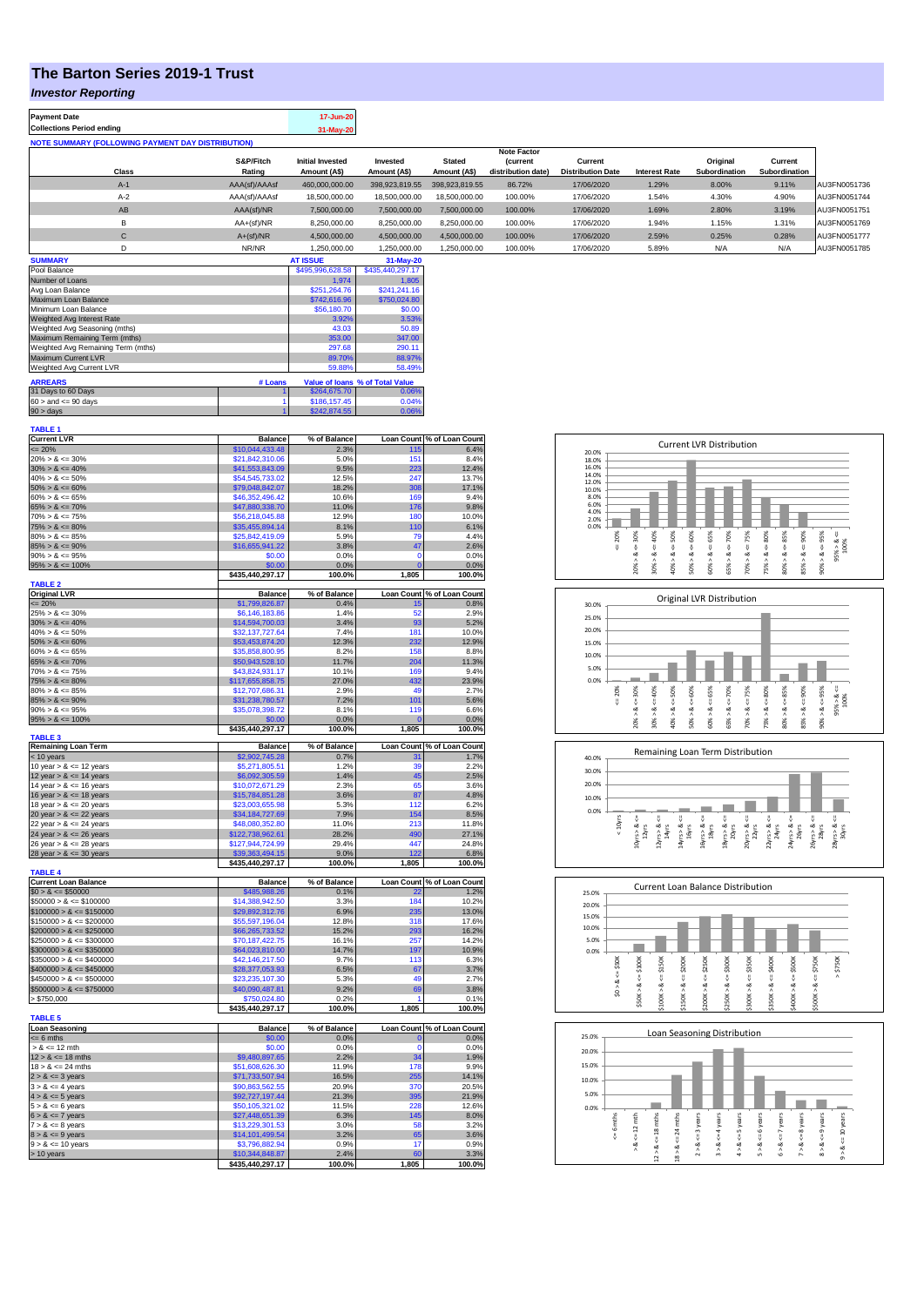## **The Barton Series 2019-1 Trust**

## *Investor Reporting*

| <b>Payment Date</b>              |       |                                                          | 17-Jun-20                               |                          |                               |                                       |                                     |                      |                           |                          |              |
|----------------------------------|-------|----------------------------------------------------------|-----------------------------------------|--------------------------|-------------------------------|---------------------------------------|-------------------------------------|----------------------|---------------------------|--------------------------|--------------|
| <b>Collections Period ending</b> |       |                                                          | 31-May-20                               |                          |                               |                                       |                                     |                      |                           |                          |              |
|                                  |       | <b>NOTE SUMMARY (FOLLOWING PAYMENT DAY DISTRIBUTION)</b> |                                         |                          |                               |                                       |                                     |                      |                           |                          |              |
|                                  |       |                                                          |                                         |                          |                               | <b>Note Factor</b>                    |                                     |                      |                           |                          |              |
|                                  | Class | S&P/Fitch<br>Rating                                      | <b>Initial Invested</b><br>Amount (A\$) | Invested<br>Amount (A\$) | <b>Stated</b><br>Amount (A\$) | <i>(current</i><br>distribution date) | Current<br><b>Distribution Date</b> | <b>Interest Rate</b> | Original<br>Subordination | Current<br>Subordination |              |
|                                  | $A-1$ | AAA(sf)/AAAsf                                            | 460.000.000.00                          | 398.923.819.55           | 398.923.819.55                | 86.72%                                | 17/06/2020                          | 1.29%                | 8.00%                     | 9.11%                    | AU3FN0051736 |
|                                  | $A-2$ | AAA(sf)/AAAsf                                            | 18,500,000,00                           | 18,500,000,00            | 18,500,000,00                 | 100.00%                               | 17/06/2020                          | 1.54%                | 4.30%                     | 4.90%                    | AU3FN0051744 |
|                                  | AB    | AAA(sf)/NR                                               | 7.500.000.00                            | 7.500.000.00             | 7.500.000.00                  | 100.00%                               | 17/06/2020                          | 1.69%                | 2.80%                     | 3.19%                    | AU3FN0051751 |
|                                  | В     | $AA+(sf)/NR$                                             | 8,250,000.00                            | 8,250,000.00             | 8,250,000.00                  | 100.00%                               | 17/06/2020                          | 1.94%                | 1.15%                     | 1.31%                    | AU3FN0051769 |
|                                  | С     | $A+(sf)/NR$                                              | 4.500.000.00                            | 4.500.000.00             | 4.500.000.00                  | 100.00%                               | 17/06/2020                          | 2.59%                | 0.25%                     | 0.28%                    | AU3FN0051777 |
|                                  |       | NR/NR                                                    | 1,250,000.00                            | 1.250.000.00             | 1,250,000.00                  | 100.00%                               | 17/06/2020                          | 5.89%                | N/A                       | N/A                      | AU3FN0051785 |
| <b>SUMMARY</b>                   |       |                                                          | <b>AT ISSUE</b>                         | 31-May-20                |                               |                                       |                                     |                      |                           |                          |              |

| <u>auninan i</u>                                             |                  | $-1000$          | Ji-may-zu    |  |  |  |
|--------------------------------------------------------------|------------------|------------------|--------------|--|--|--|
| Pool Balance                                                 | \$495,996,628.58 | \$435,440,297.17 |              |  |  |  |
| Number of Loans                                              |                  | 1.974            | 1.805        |  |  |  |
| Avg Loan Balance                                             |                  | \$251.264.76     | \$241.241.16 |  |  |  |
| Maximum Loan Balance                                         |                  | \$742,616.96     | \$750,024.80 |  |  |  |
| Minimum Loan Balance                                         | \$56,180.70      | \$0.00           |              |  |  |  |
| Weighted Avg Interest Rate                                   |                  | 3.92%            | 3.53%        |  |  |  |
| Weighted Avg Seasoning (mths)                                |                  | 43.03            | 50.89        |  |  |  |
| Maximum Remaining Term (mths)                                | 353.00           | 347.00           |              |  |  |  |
| Weighted Avg Remaining Term (mths)                           |                  | 297.68           | 290.11       |  |  |  |
| Maximum Current LVR                                          |                  | 89.70%           | 88.97%       |  |  |  |
| Weighted Avg Current LVR                                     |                  | 59.88%           | 58.49%       |  |  |  |
| <b>ARREARS</b><br># Loans<br>Value of Ioans % of Total Value |                  |                  |              |  |  |  |
|                                                              |                  |                  |              |  |  |  |
| 31 Days to 60 Days                                           |                  | \$264,675.70     | 0.06%        |  |  |  |
| $60 >$ and $\leq 90$ days                                    | \$186,157.45     | 0.04%            |              |  |  |  |
| $90 >$ days                                                  |                  | \$242,874.55     | 0.06%        |  |  |  |

| TABLE 1                                      |                                     |                |              |                            |
|----------------------------------------------|-------------------------------------|----------------|--------------|----------------------------|
| <b>Current LVR</b>                           | <b>Balance</b>                      | % of Balance   |              | Loan Count % of Loan Count |
| $= 20%$                                      | \$10,044,433.48                     | 2.3%           | 115          | 6.4%                       |
| $20\% > 8 \le 30\%$                          | \$21,842,310.06                     | 5.0%           | 151          | 8.4%                       |
|                                              |                                     |                |              |                            |
| $30\% > 8 \le 40\%$                          | \$41,553,843.09                     | 9.5%           | 223          | 12.4%                      |
| $40\% > 8 \le 50\%$                          | \$54,545,733.02                     | 12.5%          | 247          | 13.7%                      |
| $50\% > 8 \le 60\%$                          | \$79,048,842.07                     | 18.2%          | 308          | 17.1%                      |
| $60\% > 8 \le 65\%$                          | \$46,352,496.42                     | 10.6%          | 169          | 9.4%                       |
| $65\% > 8 \le 70\%$                          | \$47,880,338.70                     | 11.0%          | 176          | 9.8%                       |
|                                              |                                     | 12.9%          | 180          | 10.0%                      |
| $70\% > 8 \le 75\%$                          | \$56,218,045.88                     |                |              |                            |
| $75\% > 8 \le 80\%$                          | \$35,455,894.14                     | 8.1%           | 110          | 6.1%                       |
| $80\% > 8 \le 85\%$                          | \$25,842,419.09                     | 5.9%           | 79           | 4.4%                       |
| $85\% > 8 \le 90\%$                          | \$16,655,941.22                     | 3.8%           | 47           | 2.6%                       |
| $90\% > 8 \le 95\%$                          | \$0.00                              | 0.0%           | $\mathbf 0$  | 0.0%                       |
|                                              |                                     |                | $\mathbf{0}$ |                            |
| $95\% > 8 \le 100\%$                         | \$0.00                              | 0.0%           |              | 0.0%                       |
|                                              | \$435,440,297.17                    | 100.0%         | 1,805        | 100.0%                     |
| <b>TABLE 2</b>                               |                                     |                |              |                            |
| <b>Original LVR</b>                          | <b>Balance</b>                      | % of Balance   |              | Loan Count % of Loan Count |
| $\leq$ 20%                                   | \$1,799,826.87                      | 0.4%           | 15           | 0.8%                       |
| $25\% > 8 \le 30\%$                          | \$6,146,183.86                      | 1.4%           | 52           | 2.9%                       |
|                                              |                                     |                |              |                            |
| $30\% > 8 \le 40\%$                          | \$14,594,700.03                     | 3.4%           | 93           | 5.2%                       |
| $40\% > 8 \le 50\%$                          | \$32,137,727,64                     | 7.4%           | 181          | 10.0%                      |
| $50\% > 8 \le 60\%$                          | \$53,453,874.20                     | 12.3%          | 232          | 12.9%                      |
| $60\% > 8 \le 65\%$                          | \$35,858,800.95                     | 8.2%           | 158          | 8.8%                       |
| $65\% > 8 \le 70\%$                          | \$50,943,528.10                     | 11.7%          | 204          | 11.3%                      |
|                                              |                                     |                |              |                            |
| $70\% > 8 \le 75\%$                          | \$43,824,931.17                     | 10.1%          | 169          | 9.4%                       |
| $75\% > 8 \le 80\%$                          | \$117,655,858.75                    | 27.0%          | 432          | 23.9%                      |
| $80\% > 8 \le 85\%$                          | \$12,707,686.31                     | 2.9%           | 49           | 2.7%                       |
| $85\% > 8 \le 90\%$                          | \$31,238,780.57                     | 7.2%           | 101          | 5.6%                       |
| $90\% > 8 \le 95\%$                          |                                     |                | 119          | 6.6%                       |
|                                              | \$35,078,398.72                     | 8.1%           |              |                            |
| $95\% > 8 \le 100\%$                         | \$0.00                              | 0.0%           | $\mathbf{0}$ | 0.0%                       |
|                                              | \$435,440,297.17                    | 100.0%         | 1,805        | 100.0%                     |
| <b>TABLE 3</b>                               |                                     |                |              |                            |
| <b>Remaining Loan Term</b>                   | <b>Balance</b>                      | % of Balance   |              | Loan Count % of Loan Count |
| < 10 years                                   | \$2,902,745.28                      | 0.7%           | 31           | 1.7%                       |
| 10 year $> 8 \le 12$ years                   | \$5,271,805.51                      | 1.2%           | 39           | 2.2%                       |
|                                              |                                     |                |              |                            |
| 12 year $> 8 \le 14$ years                   | \$6,092,305.59                      | 1.4%           | 45           | 2.5%                       |
| 14 year $> 8 \le 16$ years                   | \$10,072,671.29                     | 2.3%           | 65           | 3.6%                       |
|                                              |                                     |                |              |                            |
|                                              |                                     |                |              |                            |
| 16 year $> 8 \le 18$ years                   | \$15,784,851.28                     | 3.6%           | 87           | 4.8%                       |
| 18 year $> 8 \le 20$ years                   | \$23,003,655.98                     | 5.3%           | 112          | 6.2%                       |
| 20 year $> 8 < 22$ years                     | \$34,184,727.69                     | 7.9%           | 154          | 8.5%                       |
| 22 year $> 8 \le 24$ years                   | \$48,080,352.80                     | 11.0%          | 213          | 11.8%                      |
| 24 year $> 8 \le 26$ years                   | \$122,738,962.61                    | 28.2%          | 490          | 27.1%                      |
|                                              |                                     |                |              |                            |
| 26 year $> 8 \le 28$ years                   | \$127,944,724.99                    | 29.4%          | 447          | 24.8%                      |
|                                              | \$39,363,494.15                     | 9.0%           | 122          | 6.8%                       |
|                                              | \$435,440,297.17                    | 100.0%         | 1,805        | 100.0%                     |
| 28 year $> 8 \le 30$ years<br><b>TABLE 4</b> |                                     |                |              |                            |
| <b>Current Loan Balance</b>                  | <b>Balance</b>                      | % of Balance   |              | Loan Count % of Loan Count |
|                                              |                                     |                |              |                            |
| $$0 > 8 \le $50000$                          | \$485,988.26                        | 0.1%           |              | 1.2%                       |
| $$50000 > 8 \le $100000$                     | \$14,388,942.50                     | 3.3%           | 184          | 10.2%                      |
| $$100000 > 8 \le $150000$                    | 29,892,312.76                       | 6.9%           | 235          | 13.0%                      |
| $$150000 > 8 \le $200000$                    | \$55,597,196.04                     | 12.8%          | 318          | 17.6%                      |
| $$200000 > 8 \le $250000$                    | \$66,265,733.52                     | 15.2%          | 293          | 16.2%                      |
| $$250000 > 8 \le $300000$                    | \$70,187,422.75                     | 16.1%          | 257          | 14.2%                      |
|                                              |                                     | 14.7%          | 197          | 10.9%                      |
| $$300000 > 8 \leq $350000$                   | \$64,023,810.00                     |                |              |                            |
| $$350000 > 8 \leq $400000$                   | \$42,146,217.50                     | 9.7%           | 113          | 6.3%                       |
| $$400000 > 8 \le $450000$                    | \$28,377,053.93                     | 6.5%           | 67           | 3.7%                       |
| $$450000 > 8 \le $500000$                    | \$23,235,107.30                     | 5.3%           | 49           | 2.7%                       |
| $$500000 > 8 \le $750000$                    | \$40,090,487.81                     | 9.2%           | 69           | 3.8%                       |
|                                              |                                     |                |              |                            |
| > \$750,000                                  | \$750,024.80                        | 0.2%           |              | 0.1%                       |
|                                              | \$435,440,297.17                    | 100.0%         | 1,805        | 100.0%                     |
| <b>TABLE 5</b>                               |                                     |                |              |                            |
| Loan Seasoning                               | <b>Balance</b>                      | % of Balance   |              | Loan Count % of Loan Count |
| $= 6$ mths                                   | \$0.00                              | 0.0%           | $\mathbf 0$  | 0.0%                       |
|                                              |                                     |                |              |                            |
| $> 8 \le 12$ mth                             | \$0.00                              | 0.0%           | O            | 0.0%                       |
| $12 > 8 \le 18$ mths                         | \$9,480,897.65                      | 2.2%           | 34           | 1.9%                       |
| $18 > 8 \le 24$ mths                         | \$51,608,626.30                     | 11.9%          | 178          | 9.9%                       |
| $2 > 8 \le 3$ years                          | \$71,733,507.94                     | 16.5%          | 255          | 14.1%                      |
|                                              |                                     | 20.9%          | 370          | 20.5%                      |
| $3 > 8 \leq 4$ years                         | \$90,863,562.55                     |                |              |                            |
| $4 > 8 \le 5$ years                          | \$92,727,197.44                     | 21.3%          | 395          | 21.9%                      |
| $5 > 8 \le 6$ years                          | \$50,105,321.02                     | 11.5%          | 228          | 12.6%                      |
| $6 > 8 \le 7$ years                          | \$27,448,651.39                     | 6.3%           | 145          | 8.0%                       |
| $7 > 8 \le 8$ years                          | \$13,229,301.53                     | 3.0%           | 58           | 3.2%                       |
|                                              |                                     |                |              |                            |
| $8 > 8 \le 9$ years                          | \$14,101,499.54                     | 3.2%           | 65           | 3.6%                       |
| $9 > 8 \le 10$ years                         | \$3,796,882.94                      | 0.9%           | 17           | 0.9%                       |
| > 10 years                                   | \$10,344,848.87<br>\$435,440,297.17 | 2.4%<br>100.0% | 1,805        | 3.3%<br>100.0%             |

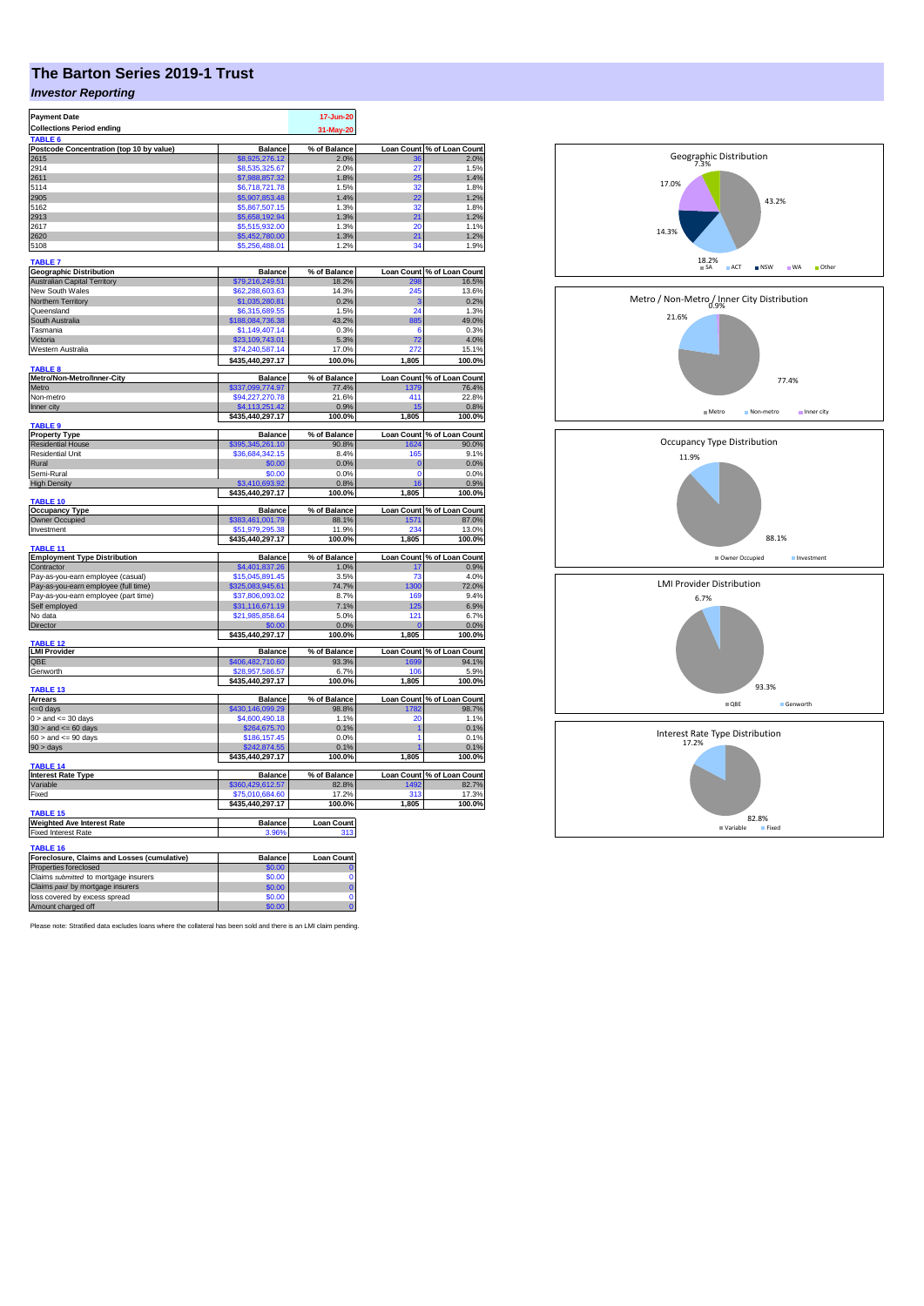## **The Barton Series 2019-1 Trust**

## *Investor Reporting*

| <b>Payment Date</b>                                 |                                    | 17-Jun-20         |                   |                                          |
|-----------------------------------------------------|------------------------------------|-------------------|-------------------|------------------------------------------|
| <b>Collections Period ending</b>                    |                                    | 31-May-20         |                   |                                          |
| TABLE 6                                             |                                    |                   |                   |                                          |
| Postcode Concentration (top 10 by value)            | <b>Balance</b>                     | % of Balance      |                   | Loan Count % of Loan Count               |
| 2615                                                | \$8,925,276.12                     | 2.0%              |                   | 2.0%                                     |
| 2914                                                | \$8,535,325.67                     | 2.0%              | 27                | 1.5%                                     |
| 2611                                                | \$7,988,857.32                     | 1.8%              | 25                | 1.4%                                     |
| 5114                                                | \$6,718,721.78                     | 1.5%              | 32                | 1.8%                                     |
| 2905                                                | \$5,907,853.48                     | 1.4%              | 22                | 1.2%                                     |
| 5162                                                |                                    | 1.3%              | 32                | 1.8%                                     |
| 2913                                                | \$5,867,507.15<br>\$5,658,192.94   | 1.3%              | 21                | 1.2%                                     |
| 2617                                                | \$5,515,932.00                     |                   | 20                | 1.1%                                     |
| 2620                                                |                                    | 1.3%<br>1.3%      | 21                | 1.2%                                     |
|                                                     | \$5,452,780.00                     |                   |                   |                                          |
| 5108                                                | \$5,256,488.01                     | 1.2%              | 34                | 1.9%                                     |
| <b>TABLE 7</b>                                      |                                    |                   |                   |                                          |
| <b>Geographic Distribution</b>                      | <b>Balance</b>                     | % of Balance      |                   | Loan Count % of Loan Count               |
| <b>Australian Capital Territory</b>                 | \$79,216,249.51                    | 18.2%             | 298               | 16.5%                                    |
| New South Wales                                     | \$62,288,603.63                    | 14.3%             | 245               | 13.6%                                    |
| <b>Northern Territory</b>                           | \$1,035,280.81                     | 0.2%              | s                 | 0.2%                                     |
| Queensland                                          | \$6,315,689.55                     | 1.5%              | 24                | 1.3%                                     |
|                                                     |                                    |                   |                   |                                          |
| South Australia<br>Tasmania                         | \$188,084,736.38<br>\$1,149,407.14 | 43.2%<br>0.3%     | 885<br>6          | 49.0%<br>0.3%                            |
|                                                     |                                    |                   |                   |                                          |
| Victoria                                            | \$23,109,743.01                    | 5.3%              | 72                | 4.0%                                     |
| Western Australia                                   | \$74,240,587.14                    | 17.0%             | 272               | 15.1%                                    |
|                                                     | \$435,440,297.17                   | 100.0%            | 1,805             | 100.0%                                   |
| <b>TABLE 8</b>                                      |                                    |                   |                   |                                          |
| Metro/Non-Metro/Inner-City                          | <b>Balance</b>                     | % of Balance      |                   | Loan Count % of Loan Count<br>1379 76.4% |
| Metro                                               | \$337,099,774.97                   | 77.4%             |                   |                                          |
| Non-metro                                           | \$94,227,270.78                    | 21.6%             | 411               | 22.8%                                    |
| Inner city                                          | \$4,113,251.42                     | 0.9%              | 15                | 0.8%                                     |
|                                                     | \$435,440,297.17                   | 100.0%            | 1.805             | 100.0%                                   |
| TABLE <sub>9</sub>                                  |                                    |                   |                   |                                          |
| <b>Property Type</b>                                | <b>Balance</b>                     | % of Balance      |                   | Loan Count % of Loan Count               |
| <b>Residential House</b>                            | \$395,345,261.10                   | 90.8%             | 1624              | 90.0%                                    |
| <b>Residential Unit</b>                             | \$36,684,342.15                    | 8.4%              | 165               | 9.1%                                     |
| Rural                                               | \$0.00                             | 0.0%              | C                 | 0.0%                                     |
| Semi-Rural                                          | \$0.00                             | 0.0%              | $\Omega$          | 0.0%                                     |
| <b>High Density</b>                                 | \$3,410,693.92                     | 0.8%              | 16                | 0.9%                                     |
|                                                     | \$435,440,297.17                   | 100.0%            | 1,805             | 100.0%                                   |
| TABLE 10                                            |                                    |                   |                   |                                          |
| <b>Occupancy Type</b>                               | <b>Balance</b>                     | % of Balance      | <b>Loan Count</b> | % of Loan Count                          |
| Owner Occupied                                      | \$383,461,001.79                   | 88.1%             | 1571              | 87.0%                                    |
| Investment                                          | 51.979.295.38                      | 11.9%             | 234               | 13.0%                                    |
|                                                     | \$435,440,297.17                   | 100.0%            | 1,805             | 100.0%                                   |
| TABLE <sub>11</sub>                                 |                                    |                   |                   |                                          |
| <b>Employment Type Distribution</b>                 | <b>Balance</b>                     | % of Balance      |                   | Loan Count % of Loan Count               |
| Contractor                                          | \$4,401,837.26                     | 1.0%              | 17                | 0.9%                                     |
| Pay-as-you-earn employee (casual)                   | \$15,045,891.45                    | 3.5%              | 73                | 4.0%                                     |
| Pay-as-you-earn employee (full time)                | \$325,083,945.61                   | 74.7%             | 1300              | 72.0%                                    |
| Pay-as-you-earn employee (part time)                | \$37,806,093.02                    | 8.7%              | <b>169</b>        | 9.4%                                     |
| Self employed                                       | \$31,116,671.19                    | 7.1%              | 125               | 6.9%                                     |
| No data                                             | \$21,985,858.64                    | 5.0%              | 121               | 6.7%                                     |
| Director                                            |                                    | 0.0%              |                   | 0.0%                                     |
|                                                     | \$435,440,297.17                   | 100.0%            | 1,805             | 100.0%                                   |
| <b>ABLE 12</b>                                      |                                    |                   |                   |                                          |
| <b>LMI Provider</b>                                 | <b>Balance</b>                     | % of Balance      |                   | Loan Count % of Loan Count               |
| QBE                                                 | \$406,482,710.60                   | 93.3%             | 1699              | 94.1%                                    |
| Genworth                                            | \$28,957,586.57                    | 6.7%              | 106               | 5.9%                                     |
|                                                     | \$435,440,297.17                   | 100.0%            | 1,805             | 100.0%                                   |
| TABLE <sub>13</sub>                                 |                                    |                   |                   |                                          |
| <b>Arrears</b>                                      | <b>Balance</b>                     | % of Balance      |                   | Loan Count % of Loan Count               |
| <= 0 days                                           | \$430,146,099.29                   | 98.8%             | 1782              | 98.7%                                    |
| $0 >$ and $\leq$ 30 days                            | \$4,600,490.18                     | 1.1%              | 20                | 1.1%                                     |
| $30 >$ and $\leq 60$ days                           | \$264,675.70                       | 0.1%              | 1                 | 0.1%                                     |
| $60 >$ and $\leq 90$ days                           | \$186,157.45                       | 0.0%              | 1                 | 0.1%                                     |
| $90 > \text{days}$                                  | 242.874.55                         | 0.1%              |                   | 0.1%                                     |
|                                                     | \$435,440,297.17                   | 100.0%            | 1,805             | 100.0%                                   |
| TABLE 14                                            |                                    |                   |                   |                                          |
| <b>Interest Rate Type</b>                           | <b>Balance</b>                     | % of Balance      |                   | Loan Count % of Loan Count               |
| Variable                                            | \$360,429,612.57                   | 82.8%             | 1492              | 82.7%                                    |
| Fixed                                               | \$75,010,684.60                    | 17.2%             | 313               | 17.3%                                    |
|                                                     | \$435,440,297.17                   | 100.0%            | 1,805             | 100.0%                                   |
| <b>TABLE 15</b>                                     |                                    |                   |                   |                                          |
| <b>Weighted Ave Interest Rate</b>                   | <b>Balance</b>                     | <b>Loan Count</b> |                   |                                          |
| Fixed Interest Rate                                 | 3.96%                              | 313               |                   |                                          |
|                                                     |                                    |                   |                   |                                          |
| TABLE 16                                            |                                    |                   |                   |                                          |
|                                                     |                                    |                   |                   |                                          |
| Foreclosure, Claims and Losses (cumulative)         | <b>Balance</b>                     | <b>Loan Count</b> |                   |                                          |
| Properties foreclosed                               | \$0.00                             |                   |                   |                                          |
| Claims submitted to mortgage insurers               | \$0.00                             | $\Omega$          |                   |                                          |
| Claims paid by mortgage insurers                    | \$0.00                             | $\bf{0}$          |                   |                                          |
| loss covered by excess spread<br>Amount charged off | \$0.00<br>60.00                    | $\Omega$          |                   |                                          |

Please note: Stratified data excludes loans where the collateral has been sold and there is an LMI claim pending.